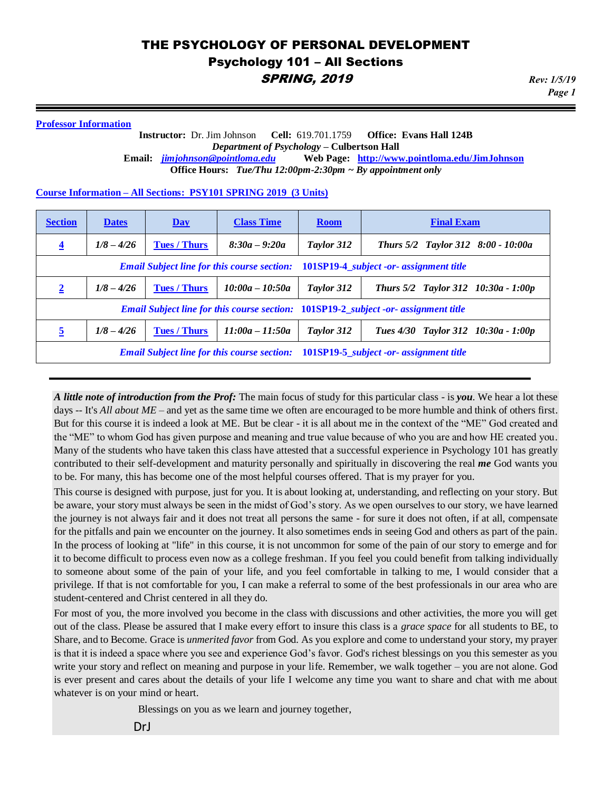#### **Professor Information**

#### **Instructor:** Dr. Jim Johnson **Cell:** 619.701.1759 **Office: Evans Hall 124B** *Department of Psychology* **– Culbertson Hall Email:** *[jimjohnson@pointloma.edu](mailto:jimjohnson@pointloma.edu)* **Web Page: <http://www.pointloma.edu/JimJohnson> Office Hours:** *Tue/Thu 12:00pm-2:30pm ~ By appointment only*

*Page 1*

#### **Course Information – All Sections: PSY101 SPRING 2019 (3 Units)**

| <b>Section</b>                                                                             | <b>Dates</b> | Day                 | <b>Class Time</b> | <b>Room</b> | <b>Final Exam</b>                                                                          |
|--------------------------------------------------------------------------------------------|--------------|---------------------|-------------------|-------------|--------------------------------------------------------------------------------------------|
| $\overline{4}$                                                                             | $1/8 - 4/26$ | <b>Tues / Thurs</b> | $8:30a - 9:20a$   | Taylor 312  | Thurs 5/2 Taylor 312 8:00 - 10:00a                                                         |
|                                                                                            |              |                     |                   |             | <b>Email Subject line for this course section:</b> 101SP19-4_subject -or- assignment title |
| $\overline{2}$                                                                             | $1/8 - 4/26$ | <b>Tues / Thurs</b> | $10:00a - 10:50a$ | Taylor 312  | Thurs $5/2$ Taylor 312 10:30a - 1:00p                                                      |
|                                                                                            |              |                     |                   |             | <b>Email Subject line for this course section: 101SP19-2_subject -or- assignment title</b> |
| 5                                                                                          | $1/8 - 4/26$ | <b>Tues / Thurs</b> | $11:00a - 11:50a$ | Taylor 312  | Tues 4/30 Taylor 312 10:30a - 1:00p                                                        |
| <b>Email Subject line for this course section:</b> 101SP19-5_subject -or- assignment title |              |                     |                   |             |                                                                                            |

*A little note of introduction from the Prof:* The main focus of study for this particular class - is *you*. We hear a lot these days -- It's *All about ME –* and yet as the same time we often are encouraged to be more humble and think of others first. But for this course it is indeed a look at ME. But be clear - it is all about me in the context of the "ME" God created and the "ME" to whom God has given purpose and meaning and true value because of who you are and how HE created you. Many of the students who have taken this class have attested that a successful experience in Psychology 101 has greatly contributed to their self-development and maturity personally and spiritually in discovering the real *me* God wants you to be. For many, this has become one of the most helpful courses offered. That is my prayer for you.

This course is designed with purpose, just for you. It is about looking at, understanding, and reflecting on your story. But be aware, your story must always be seen in the midst of God's story. As we open ourselves to our story, we have learned the journey is not always fair and it does not treat all persons the same - for sure it does not often, if at all, compensate for the pitfalls and pain we encounter on the journey. It also sometimes ends in seeing God and others as part of the pain. In the process of looking at "life" in this course, it is not uncommon for some of the pain of our story to emerge and for it to become difficult to process even now as a college freshman. If you feel you could benefit from talking individually to someone about some of the pain of your life, and you feel comfortable in talking to me, I would consider that a privilege. If that is not comfortable for you, I can make a referral to some of the best professionals in our area who are student-centered and Christ centered in all they do.

For most of you, the more involved you become in the class with discussions and other activities, the more you will get out of the class. Please be assured that I make every effort to insure this class is a *grace space* for all students to BE, to Share, and to Become. Grace is *unmerited favor* from God. As you explore and come to understand your story, my prayer is that it is indeed a space where you see and experience God's favor. God's richest blessings on you this semester as you write your story and reflect on meaning and purpose in your life. Remember, we walk together – you are not alone. God is ever present and cares about the details of your life I welcome any time you want to share and chat with me about whatever is on your mind or heart.

Blessings on you as we learn and journey together,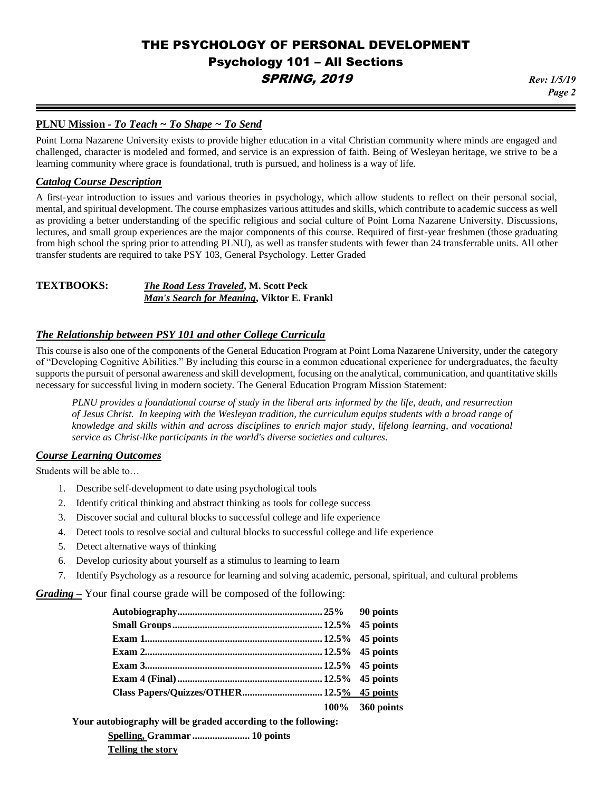*Page 2*

#### **PLNU Mission** *- To Teach ~ To Shape ~ To Send*

Point Loma Nazarene University exists to provide higher education in a vital Christian community where minds are engaged and challenged, character is modeled and formed, and service is an expression of faith. Being of Wesleyan heritage, we strive to be a learning community where grace is foundational, truth is pursued, and holiness is a way of life.

#### *Catalog Course Description*

A first-year introduction to issues and various theories in psychology, which allow students to reflect on their personal social, mental, and spiritual development. The course emphasizes various attitudes and skills, which contribute to academic success as well as providing a better understanding of the specific religious and social culture of Point Loma Nazarene University. Discussions, lectures, and small group experiences are the major components of this course. Required of first-year freshmen (those graduating from high school the spring prior to attending PLNU), as well as transfer students with fewer than 24 transferrable units. All other transfer students are required to take PSY 103, General Psychology. Letter Graded

#### **TEXTBOOKS:** *The Road Less Traveled***, M. Scott Peck** *Man's Search for Meaning***, Viktor E. Frankl**

#### *The Relationship between PSY 101 and other College Curricula*

This course is also one of the components of the General Education Program at Point Loma Nazarene University, under the category of "Developing Cognitive Abilities." By including this course in a common educational experience for undergraduates, the faculty supports the pursuit of personal awareness and skill development, focusing on the analytical, communication, and quantitative skills necessary for successful living in modern society. The General Education Program Mission Statement:

*PLNU provides a foundational course of study in the liberal arts informed by the life, death, and resurrection of Jesus Christ. In keeping with the Wesleyan tradition, the curriculum equips students with a broad range of knowledge and skills within and across disciplines to enrich major study, lifelong learning, and vocational service as Christ-like participants in the world's diverse societies and cultures.*

#### *Course Learning Outcomes*

Students will be able to…

- 1. Describe self-development to date using psychological tools
- 2. Identify critical thinking and abstract thinking as tools for college success
- 3. Discover social and cultural blocks to successful college and life experience
- 4. Detect tools to resolve social and cultural blocks to successful college and life experience
- 5. Detect alternative ways of thinking
- 6. Develop curiosity about yourself as a stimulus to learning to learn
- 7. Identify Psychology as a resource for learning and solving academic, personal, spiritual, and cultural problems

*Grading –* Your final course grade will be composed of the following:

|  | 100% 360 points |
|--|-----------------|

**Your autobiography will be graded according to the following:** 

**Spelling, Grammar ....................... 10 points Telling the story**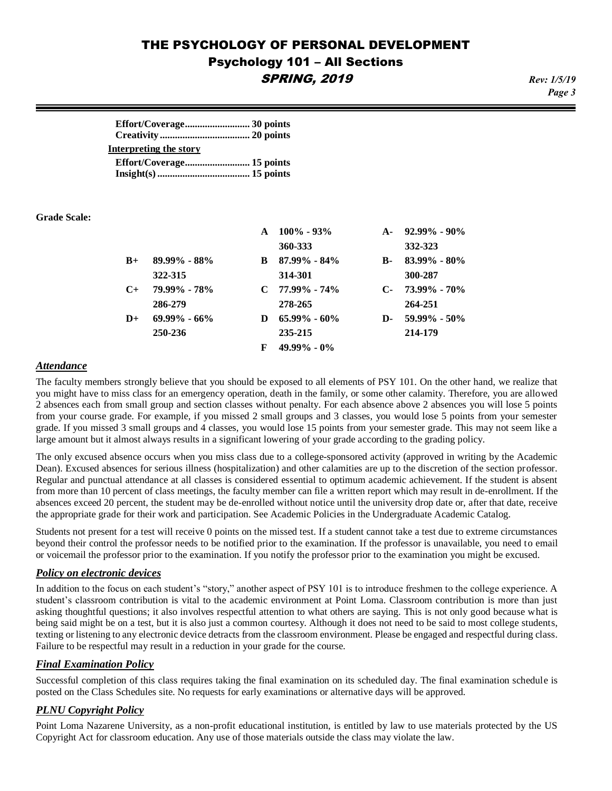*Page 3*

| Interpreting the story |  |
|------------------------|--|
|                        |  |
|                        |  |

**Grade Scale:**

|           |                  |   | $100\% - 93\%$   | $A -$     | $92.99\% - 90\%$   |
|-----------|------------------|---|------------------|-----------|--------------------|
|           |                  |   | 360-333          |           | 332-323            |
| $B+$      | $89.99\% - 88\%$ | B | $87.99\% - 84\%$ | <b>B-</b> | $83.99\% - 80\%$   |
|           | 322-315          |   | 314-301          |           | 300-287            |
| $C_{\pm}$ | 79.99% - 78%     |   | $C$ 77.99% - 74% |           | $C-73.99\% - 70\%$ |
|           | 286-279          |   | 278-265          |           | 264-251            |
| $D+$      | $69.99\% - 66\%$ | D | $65.99\% - 60\%$ | D-        | $59.99\%$ - 50%    |
|           | 250-236          |   | 235-215          |           | 214-179            |
|           |                  | F | $49.99\% - 0\%$  |           |                    |

#### *Attendance*

The faculty members strongly believe that you should be exposed to all elements of PSY 101. On the other hand, we realize that you might have to miss class for an emergency operation, death in the family, or some other calamity. Therefore, you are allowed 2 absences each from small group and section classes without penalty. For each absence above 2 absences you will lose 5 points from your course grade. For example, if you missed 2 small groups and 3 classes, you would lose 5 points from your semester grade. If you missed 3 small groups and 4 classes, you would lose 15 points from your semester grade. This may not seem like a large amount but it almost always results in a significant lowering of your grade according to the grading policy.

The only excused absence occurs when you miss class due to a college-sponsored activity (approved in writing by the Academic Dean). Excused absences for serious illness (hospitalization) and other calamities are up to the discretion of the section professor. Regular and punctual attendance at all classes is considered essential to optimum academic achievement. If the student is absent from more than 10 percent of class meetings, the faculty member can file a written report which may result in de-enrollment. If the absences exceed 20 percent, the student may be de-enrolled without notice until the university drop date or, after that date, receive the appropriate grade for their work and participation. See Academic Policies in the Undergraduate Academic Catalog.

Students not present for a test will receive 0 points on the missed test. If a student cannot take a test due to extreme circumstances beyond their control the professor needs to be notified prior to the examination. If the professor is unavailable, you need to email or voicemail the professor prior to the examination. If you notify the professor prior to the examination you might be excused.

#### *Policy on electronic devices*

In addition to the focus on each student's "story," another aspect of PSY 101 is to introduce freshmen to the college experience. A student's classroom contribution is vital to the academic environment at Point Loma. Classroom contribution is more than just asking thoughtful questions; it also involves respectful attention to what others are saying. This is not only good because what is being said might be on a test, but it is also just a common courtesy. Although it does not need to be said to most college students, texting or listening to any electronic device detracts from the classroom environment. Please be engaged and respectful during class. Failure to be respectful may result in a reduction in your grade for the course.

#### *Final Examination Policy*

Successful completion of this class requires taking the final examination on its scheduled day. The final examination schedule is posted on the Class Schedules site. No requests for early examinations or alternative days will be approved.

#### *PLNU Copyright Policy*

Point Loma Nazarene University, as a non-profit educational institution, is entitled by law to use materials protected by the US Copyright Act for classroom education. Any use of those materials outside the class may violate the law.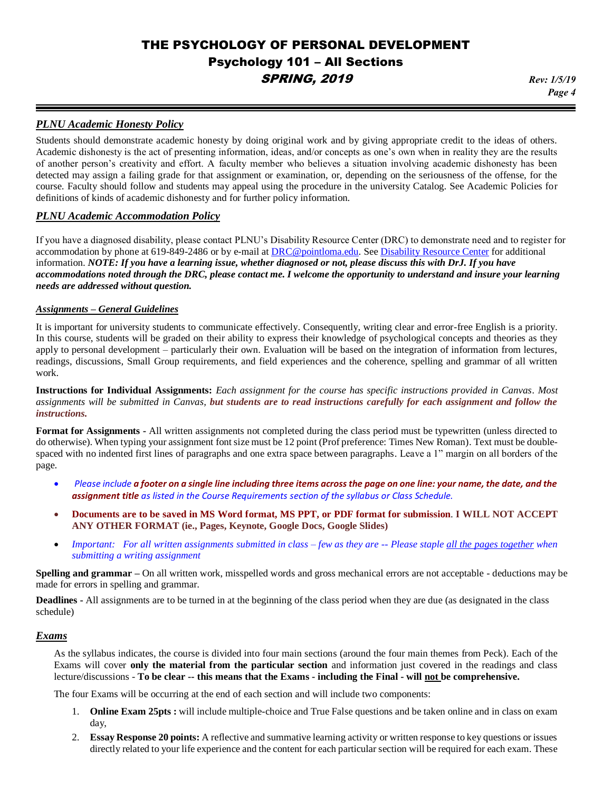*Page 4*

#### *PLNU Academic Honesty Policy*

Students should demonstrate academic honesty by doing original work and by giving appropriate credit to the ideas of others. Academic dishonesty is the act of presenting information, ideas, and/or concepts as one's own when in reality they are the results of another person's creativity and effort. A faculty member who believes a situation involving academic dishonesty has been detected may assign a failing grade for that assignment or examination, or, depending on the seriousness of the offense, for the course. Faculty should follow and students may appeal using the procedure in the university Catalog. See Academic Policies for definitions of kinds of academic dishonesty and for further policy information.

#### *PLNU Academic Accommodation Policy*

If you have a diagnosed disability, please contact PLNU's Disability Resource Center (DRC) to demonstrate need and to register for accommodation by phone at 619-849-2486 or by e-mail at [DRC@pointloma.edu.](mailto:DRC@pointloma.edu) See [Disability Resource Center](http://www.pointloma.edu/experience/offices/administrative-offices/academic-advising-office/disability-resource-center) for additional information. *NOTE: If you have a learning issue, whether diagnosed or not, please discuss this with DrJ. If you have accommodations noted through the DRC, please contact me. I welcome the opportunity to understand and insure your learning needs are addressed without question.*

#### *Assignments – General Guidelines*

It is important for university students to communicate effectively. Consequently, writing clear and error-free English is a priority. In this course, students will be graded on their ability to express their knowledge of psychological concepts and theories as they apply to personal development – particularly their own. Evaluation will be based on the integration of information from lectures, readings, discussions, Small Group requirements, and field experiences and the coherence, spelling and grammar of all written work.

**Instructions for Individual Assignments:** *Each assignment for the course has specific instructions provided in Canvas. Most assignments will be submitted in Canvas, but students are to read instructions carefully for each assignment and follow the instructions.*

**Format for Assignments -** All written assignments not completed during the class period must be typewritten (unless directed to do otherwise). When typing your assignment font size must be 12 point (Prof preference: Times New Roman). Text must be doublespaced with no indented first lines of paragraphs and one extra space between paragraphs. Leave a 1" margin on all borders of the page.

- *Please include a footer on a single line including three items across the page on one line: your name, the date, and the assignment title as listed in the Course Requirements section of the syllabus or Class Schedule.*
- **Documents are to be saved in MS Word format, MS PPT, or PDF format for submission**. **I WILL NOT ACCEPT ANY OTHER FORMAT (ie., Pages, Keynote, Google Docs, Google Slides)**
- *Important: For all written assignments submitted in class – few as they are -- Please staple all the pages together when submitting a writing assignment*

**Spelling and grammar –** On all written work, misspelled words and gross mechanical errors are not acceptable - deductions may be made for errors in spelling and grammar.

**Deadlines -** All assignments are to be turned in at the beginning of the class period when they are due (as designated in the class schedule)

#### *Exams*

As the syllabus indicates, the course is divided into four main sections (around the four main themes from Peck). Each of the Exams will cover **only the material from the particular section** and information just covered in the readings and class lecture/discussions - **To be clear -- this means that the Exams - including the Final - will not be comprehensive.**

The four Exams will be occurring at the end of each section and will include two components:

- 1. **Online Exam 25pts :** will include multiple-choice and True False questions and be taken online and in class on exam day,
- 2. **Essay Response 20 points:** A reflective and summative learning activity or written response to key questions or issues directly related to your life experience and the content for each particular section will be required for each exam. These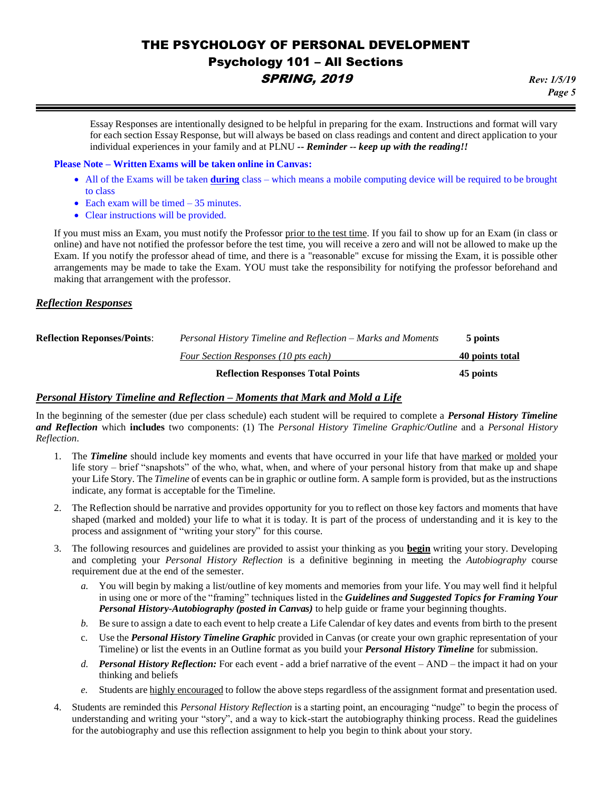Essay Responses are intentionally designed to be helpful in preparing for the exam. Instructions and format will vary for each section Essay Response, but will always be based on class readings and content and direct application to your individual experiences in your family and at PLNU *-- Reminder -- keep up with the reading!!*

#### **Please Note – Written Exams will be taken online in Canvas:**

- All of the Exams will be taken **during** class which means a mobile computing device will be required to be brought to class
- Each exam will be timed 35 minutes.
- Clear instructions will be provided.

If you must miss an Exam, you must notify the Professor prior to the test time. If you fail to show up for an Exam (in class or online) and have not notified the professor before the test time, you will receive a zero and will not be allowed to make up the Exam. If you notify the professor ahead of time, and there is a "reasonable" excuse for missing the Exam, it is possible other arrangements may be made to take the Exam. YOU must take the responsibility for notifying the professor beforehand and making that arrangement with the professor.

#### *Reflection Responses*

|                                    | <b>Reflection Responses Total Points</b>                     | 45 points       |  |
|------------------------------------|--------------------------------------------------------------|-----------------|--|
|                                    | Four Section Responses (10 pts each)                         | 40 points total |  |
| <b>Reflection Reponses/Points:</b> | Personal History Timeline and Reflection – Marks and Moments | 5 points        |  |

#### *Personal History Timeline and Reflection – Moments that Mark and Mold a Life*

In the beginning of the semester (due per class schedule) each student will be required to complete a *Personal History Timeline and Reflection* which **includes** two components: (1) The *Personal History Timeline Graphic/Outline* and a *Personal History Reflection*.

- 1. The *Timeline* should include key moments and events that have occurred in your life that have marked or molded your life story – brief "snapshots" of the who, what, when, and where of your personal history from that make up and shape your Life Story. The *Timeline* of events can be in graphic or outline form. A sample form is provided, but as the instructions indicate, any format is acceptable for the Timeline.
- 2. The Reflection should be narrative and provides opportunity for you to reflect on those key factors and moments that have shaped (marked and molded) your life to what it is today. It is part of the process of understanding and it is key to the process and assignment of "writing your story" for this course.
- 3. The following resources and guidelines are provided to assist your thinking as you **begin** writing your story. Developing and completing your *Personal History Reflection* is a definitive beginning in meeting the *Autobiography* course requirement due at the end of the semester.
	- *a.* You will begin by making a list/outline of key moments and memories from your life. You may well find it helpful in using one or more of the "framing" techniques listed in the *Guidelines and Suggested Topics for Framing Your Personal History-Autobiography (posted in Canvas)* to help guide or frame your beginning thoughts.
	- *b.* Be sure to assign a date to each event to help create a Life Calendar of key dates and events from birth to the present
	- c. Use the *Personal History Timeline Graphic* provided in Canvas (or create your own graphic representation of your Timeline) or list the events in an Outline format as you build your *Personal History Timeline* for submission.
	- *d. Personal History Reflection:* For each event add a brief narrative of the event AND the impact it had on your thinking and beliefs
	- *e.* Students are highly encouraged to follow the above steps regardless of the assignment format and presentation used.
- 4. Students are reminded this *Personal History Reflection* is a starting point, an encouraging "nudge" to begin the process of understanding and writing your "story", and a way to kick-start the autobiography thinking process. Read the guidelines for the autobiography and use this reflection assignment to help you begin to think about your story.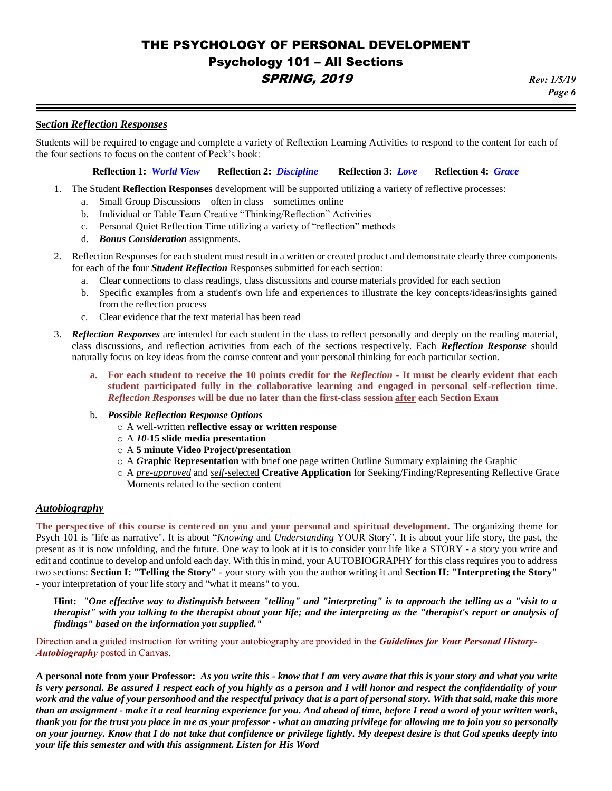# *Page 6*

#### **Se***ction Reflection Responses*

Students will be required to engage and complete a variety of Reflection Learning Activities to respond to the content for each of the four sections to focus on the content of Peck's book:

**Reflection 1:** *World View* **Reflection 2:** *Discipline* **Reflection 3:** *Love* **Reflection 4:** *Grace*

- 1. The Student **Reflection Responses** development will be supported utilizing a variety of reflective processes:
	- a. Small Group Discussions often in class sometimes online
	- b. Individual or Table Team Creative "Thinking/Reflection" Activities
	- c. Personal Quiet Reflection Time utilizing a variety of "reflection" methods
	- d. *Bonus Consideration* assignments.
- 2. Reflection Responses for each student must result in a written or created product and demonstrate clearly three components for each of the four *Student Reflection* Responses submitted for each section:
	- a. Clear connections to class readings, class discussions and course materials provided for each section
	- b. Specific examples from a student's own life and experiences to illustrate the key concepts/ideas/insights gained from the reflection process
	- c. Clear evidence that the text material has been read
- 3. *Reflection Responses* are intended for each student in the class to reflect personally and deeply on the reading material, class discussions, and reflection activities from each of the sections respectively. Each *Reflection Response* should naturally focus on key ideas from the course content and your personal thinking for each particular section.
	- **a. For each student to receive the 10 points credit for the** *Reflection* **- It must be clearly evident that each student participated fully in the collaborative learning and engaged in personal self-reflection time.**  *Reflection Responses* **will be due no later than the first-class session after each Section Exam**
	- b. *Possible Reflection Response Options* 
		- o A well-written **reflective essay or written response**
		- o A *10-***15 slide media presentation**
		- o A **5 minute Video Project/presentation**
		- o A *G***raphic Representation** with brief one page written Outline Summary explaining the Graphic
		- o A *pre-approved* and *self-*selected **Creative Application** for Seeking/Finding/Representing Reflective Grace Moments related to the section content

#### *Autobiography*

**The perspective of this course is centered on you and your personal and spiritual development.** The organizing theme for Psych 101 is "life as narrative". It is about "*Knowing* and *Understanding* YOUR Story". It is about your life story, the past, the present as it is now unfolding, and the future. One way to look at it is to consider your life like a STORY - a story you write and edit and continue to develop and unfold each day. With this in mind, your AUTOBIOGRAPHY for this class requires you to address two sections: **Section I: "Telling the Story"** - your story with you the author writing it and **Section II: "Interpreting the Story"** - your interpretation of your life story and "what it means" to you.

**Hint:** *"One effective way to distinguish between "telling" and "interpreting" is to approach the telling as a "visit to a therapist" with you talking to the therapist about your life; and the interpreting as the "therapist's report or analysis of findings" based on the information you supplied."*

Direction and a guided instruction for writing your autobiography are provided in the *Guidelines for Your Personal History-Autobiography* posted in Canvas.

**A personal note from your Professor:** *As you write this - know that I am very aware that this is your story and what you write is very personal. Be assured I respect each of you highly as a person and I will honor and respect the confidentiality of your work and the value of your personhood and the respectful privacy that is a part of personal story. With that said, make this more than an assignment - make it a real learning experience for you. And ahead of time, before I read a word of your written work, thank you for the trust you place in me as your professor - what an amazing privilege for allowing me to join you so personally on your journey. Know that I do not take that confidence or privilege lightly. My deepest desire is that God speaks deeply into your life this semester and with this assignment. Listen for His Word*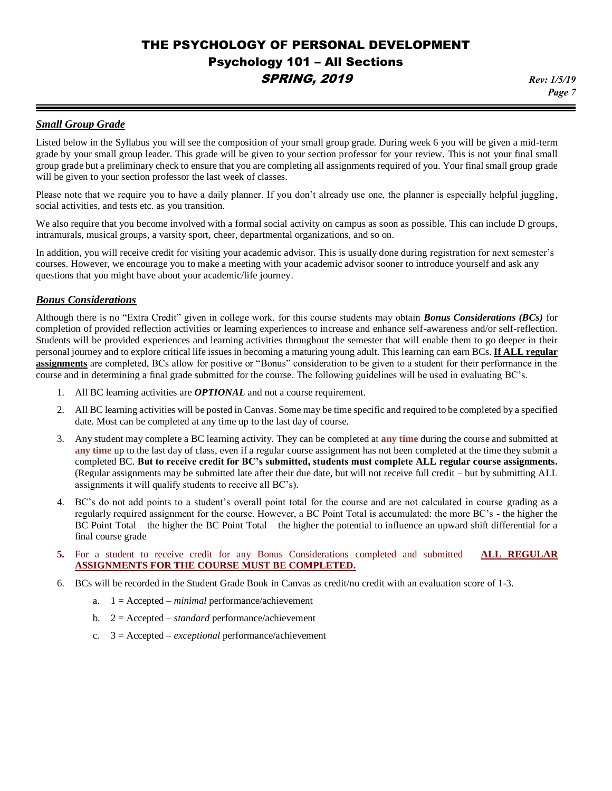#### *Small Group Grade*

Listed below in the Syllabus you will see the composition of your small group grade. During week 6 you will be given a mid-term grade by your small group leader. This grade will be given to your section professor for your review. This is not your final small group grade but a preliminary check to ensure that you are completing all assignments required of you. Your final small group grade will be given to your section professor the last week of classes.

Please note that we require you to have a daily planner. If you don't already use one, the planner is especially helpful juggling, social activities, and tests etc. as you transition.

We also require that you become involved with a formal social activity on campus as soon as possible. This can include D groups, intramurals, musical groups, a varsity sport, cheer, departmental organizations, and so on.

In addition, you will receive credit for visiting your academic advisor. This is usually done during registration for next semester's courses. However, we encourage you to make a meeting with your academic advisor sooner to introduce yourself and ask any questions that you might have about your academic/life journey.

#### *Bonus Considerations*

Although there is no "Extra Credit" given in college work, for this course students may obtain *Bonus Considerations (BCs)* for completion of provided reflection activities or learning experiences to increase and enhance self-awareness and/or self-reflection. Students will be provided experiences and learning activities throughout the semester that will enable them to go deeper in their personal journey and to explore critical life issues in becoming a maturing young adult. This learning can earn BCs. **If ALL regular assignments** are completed, BCs allow for positive or "Bonus" consideration to be given to a student for their performance in the course and in determining a final grade submitted for the course. The following guidelines will be used in evaluating BC's.

- 1. All BC learning activities are *OPTIONAL* and not a course requirement.
- 2. All BC learning activities will be posted in Canvas. Some may be time specific and required to be completed by a specified date. Most can be completed at any time up to the last day of course.
- 3. Any student may complete a BC learning activity. They can be completed at **any time** during the course and submitted at **any time** up to the last day of class, even if a regular course assignment has not been completed at the time they submit a completed BC. **But to receive credit for BC's submitted, students must complete ALL regular course assignments.** (Regular assignments may be submitted late after their due date, but will not receive full credit – but by submitting ALL assignments it will qualify students to receive all BC's).
- 4. BC's do not add points to a student's overall point total for the course and are not calculated in course grading as a regularly required assignment for the course. However, a BC Point Total is accumulated: the more BC's - the higher the BC Point Total – the higher the BC Point Total – the higher the potential to influence an upward shift differential for a final course grade
- **5.** For a student to receive credit for any Bonus Considerations completed and submitted **ALL REGULAR ASSIGNMENTS FOR THE COURSE MUST BE COMPLETED.**
- 6. BCs will be recorded in the Student Grade Book in Canvas as credit/no credit with an evaluation score of 1-3.
	- a. 1 = Accepted *minimal* performance/achievement
	- b. 2 = Accepted *standard* performance/achievement
	- c. 3 = Accepted *exceptional* performance/achievement